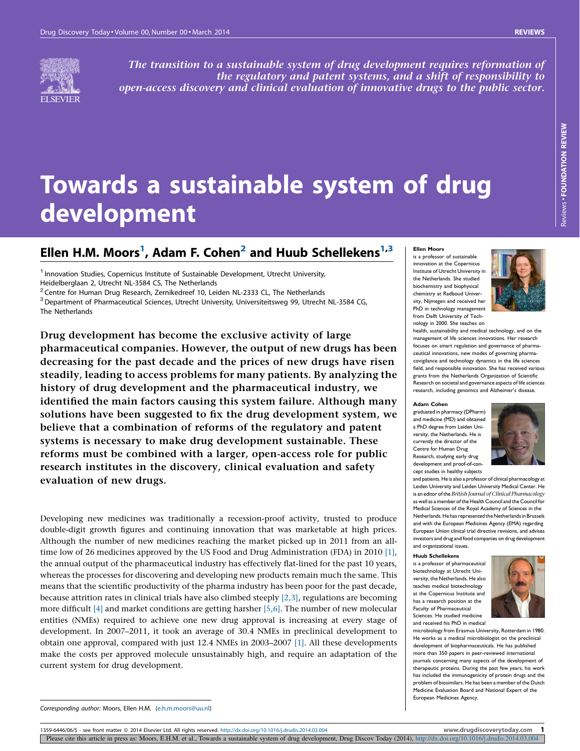

The transition to a sustainable system of drug development requires reformation of the regulatory and patent systems, and a shift of responsibility to open-access discovery and clinical evaluation of innovative drugs to the public sector.

# Towards a sustainable system of drug development

## Ellen H.M. Moors<sup>1</sup>, Adam F. Cohen<sup>2</sup> and Huub Schellekens<sup>1,3</sup>

<sup>1</sup> Innovation Studies, Copernicus Institute of Sustainable Development, Utrecht University, Heidelberglaan 2, Utrecht NL-3584 CS, The Netherlands<br><sup>2</sup> Centre for Human Drug Research, Zernikedreef 10, Leiden NL-2333 CL, The Netherlands

<sup>3</sup>Department of Pharmaceutical Sciences, Utrecht University, Universiteitsweg 99, Utrecht NL-3584 CG, The Netherlands

Drug development has become the exclusive activity of large pharmaceutical companies. However, the output of new drugs has been decreasing for the past decade and the prices of new drugs have risen steadily, leading to access problems for many patients. By analyzing the history of drug development and the pharmaceutical industry, we identified the main factors causing this system failure. Although many solutions have been suggested to fix the drug development system, we believe that a combination of reforms of the regulatory and patent systems is necessary to make drug development sustainable. These reforms must be combined with a larger, open-access role for public research institutes in the discovery, clinical evaluation and safety evaluation of new drugs.

Developing new medicines was traditionally a recession-proof activity, trusted to produce double-digit growth figures and continuing innovation that was marketable at high prices. Although the number of new medicines reaching the market picked up in 2011 from an alltime low of 26 medicines approved by the US Food and Drug Administration (FDA) in 2010 [\[1\]](#page-8-0), the annual output of the pharmaceutical industry has effectively flat-lined for the past 10 years, whereas the processes for discovering and developing new products remain much the same. This means that the scientific productivity of the pharma industry has been poor for the past decade, because attrition rates in clinical trials have also climbed steeply  $[2,3]$ , regulations are becoming more difficult [\[4\]](#page-8-0) and market conditions are getting harsher [\[5,6\]](#page-8-0). The number of new molecular entities (NMEs) required to achieve one new drug approval is increasing at every stage of development. In 2007–2011, it took an average of 30.4 NMEs in preclinical development to obtain one approval, compared with just 12.4 NMEs in 2003–2007 [\[1\]](#page-8-0). All these developments make the costs per approved molecule unsustainably high, and require an adaptation of the current system for drug development.

#### Ellen Moors is a professor of sustainable

innovation at the Copernicus Institute of Utrecht University in the Netherlands. She studied biochemistry and biophysical chemistry at Radboud University, Nijmegen and received her PhD in technology management from Delft University of Technology in 2000. She teaches on



health, sustainability and medical technology, and on the management of life sciences innovations. Her research focuses on smart regulation and governance of pharmaceutical innovations, new modes of governing pharmacovigilance and technology dynamics in the life sciences field, and responsible innovation. She has received various grants from the Netherlands Organization of Scientific Research on societal and governance aspects of life sciences research, including genomics and Alzheimer's disease.

#### Adam Cohen

graduated in pharmacy (DPharm) and medicine (MD) and obtained a PhD degree from Leiden University, the Netherlands. He is currently the director of the Centre for Human Drug Research, studying early drug development and proof-of-concept studies in healthy subjects



and patients. He is also a professor of clinical pharmacology at Leiden University and Leiden University Medical Center. He is an editor ofthe British Journal of Clinical Pharmacology as well as a member of the Health Council and the Council for Medical Sciences of the Royal Academy of Sciences in the Netherlands. He has represented the Netherlands in Brussels and with the European Medicines Agency (EMA) regarding European Union clinical trial directive revisions, and advises investors and drug and food companies on drug development and organizational issues.

#### Huub Schellekens

is a professor of pharmaceutical biotechnology at Utrecht University, the Netherlands. He also teaches medical biotechnology at the Copernicus Institute and has a research position at the Faculty of Pharmaceutical Sciences. He studied medicine and received his PhD in medical



microbiology from Erasmus University, Rotterdam in 1980. He works as a medical microbiologist on the preclinical development of biopharmaceuticals. He has published more than 350 papers in peer-reviewed international journals concerning many aspects of the development of therapeutic proteins. During the past few years, his work has included the immunogenicity of protein drugs and the problem of biosimilars. He has been a member of the Dutch .<br>Medicine Evaluation Board and National Expert of the European Medicines Agency.

Corresponding author: Moors, Ellen H.M. [\(e.h.m.moors@uu.nl](mailto:e.h.m.moors@uu.nl))

1359-6446/06/\$ - see front matter @ 2014 Elsevier Ltd. All rights reserved. <http://dx.doi.org/10.1016/j.drudis.2014.03.004> www.drugdiscoverytoday.com 1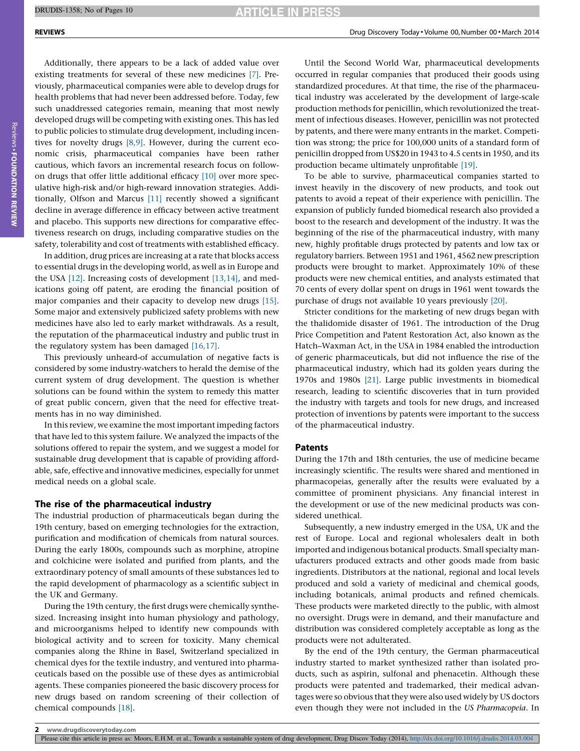Additionally, there appears to be a lack of added value over existing treatments for several of these new medicines [\[7\]](#page-8-0). Previously, pharmaceutical companies were able to develop drugs for health problems that had never been addressed before. Today, few such unaddressed categories remain, meaning that most newly developed drugs will be competing with existing ones. This has led to public policies to stimulate drug development, including incentives for novelty drugs [\[8,9\]](#page-8-0). However, during the current economic crisis, pharmaceutical companies have been rather cautious, which favors an incremental research focus on followon drugs that offer little additional efficacy [\[10\]](#page-8-0) over more speculative high-risk and/or high-reward innovation strategies. Additionally, Olfson and Marcus [\[11\]](#page-8-0) recently showed a significant decline in average difference in efficacy between active treatment and placebo. This supports new directions for comparative effectiveness research on drugs, including comparative studies on the safety, tolerability and cost of treatments with established efficacy.

In addition, drug prices are increasing at a rate that blocks access to essential drugs in the developing world, as well as in Europe and the USA [\[12\]](#page-8-0). Increasing costs of development [\[13,14\]](#page-8-0), and medications going off patent, are eroding the financial position of major companies and their capacity to develop new drugs [\[15\]](#page-8-0). Some major and extensively publicized safety problems with new medicines have also led to early market withdrawals. As a result, the reputation of the pharmaceutical industry and public trust in the regulatory system has been damaged [\[16,17\].](#page-8-0)

This previously unheard-of accumulation of negative facts is considered by some industry-watchers to herald the demise of the current system of drug development. The question is whether solutions can be found within the system to remedy this matter of great public concern, given that the need for effective treatments has in no way diminished.

In this review, we examine the most important impeding factors that have led to this system failure. We analyzed the impacts of the solutions offered to repair the system, and we suggest a model for sustainable drug development that is capable of providing affordable, safe, effective and innovative medicines, especially for unmet medical needs on a global scale.

#### The rise of the pharmaceutical industry

The industrial production of pharmaceuticals began during the 19th century, based on emerging technologies for the extraction, purification and modification of chemicals from natural sources. During the early 1800s, compounds such as morphine, atropine and colchicine were isolated and purified from plants, and the extraordinary potency of small amounts of these substances led to the rapid development of pharmacology as a scientific subject in the UK and Germany.

During the 19th century, the first drugs were chemically synthesized. Increasing insight into human physiology and pathology, and microorganisms helped to identify new compounds with biological activity and to screen for toxicity. Many chemical companies along the Rhine in Basel, Switzerland specialized in chemical dyes for the textile industry, and ventured into pharmaceuticals based on the possible use of these dyes as antimicrobial agents. These companies pioneered the basic discovery process for new drugs based on random screening of their collection of chemical compounds [\[18\]](#page-8-0).

Until the Second World War, pharmaceutical developments occurred in regular companies that produced their goods using standardized procedures. At that time, the rise of the pharmaceutical industry was accelerated by the development of large-scale production methods for penicillin, which revolutionized the treatment of infectious diseases. However, penicillin was not protected by patents, and there were many entrants in the market. Competition was strong; the price for 100,000 units of a standard form of penicillin dropped from US\$20 in 1943 to 4.5 cents in 1950, and its production became ultimately unprofitable [\[19\]](#page-8-0).

To be able to survive, pharmaceutical companies started to invest heavily in the discovery of new products, and took out patents to avoid a repeat of their experience with penicillin. The expansion of publicly funded biomedical research also provided a boost to the research and development of the industry. It was the beginning of the rise of the pharmaceutical industry, with many new, highly profitable drugs protected by patents and low tax or regulatory barriers. Between 1951 and 1961, 4562 new prescription products were brought to market. Approximately 10% of these products were new chemical entities, and analysts estimated that 70 cents of every dollar spent on drugs in 1961 went towards the purchase of drugs not available 10 years previously [\[20\].](#page-8-0)

Stricter conditions for the marketing of new drugs began with the thalidomide disaster of 1961. The introduction of the Drug Price Competition and Patent Restoration Act, also known as the Hatch–Waxman Act, in the USA in 1984 enabled the introduction of generic pharmaceuticals, but did not influence the rise of the pharmaceutical industry, which had its golden years during the 1970s and 1980s [\[21\]](#page-8-0). Large public investments in biomedical research, leading to scientific discoveries that in turn provided the industry with targets and tools for new drugs, and increased protection of inventions by patents were important to the success of the pharmaceutical industry.

#### Patents

During the 17th and 18th centuries, the use of medicine became increasingly scientific. The results were shared and mentioned in pharmacopeias, generally after the results were evaluated by a committee of prominent physicians. Any financial interest in the development or use of the new medicinal products was considered unethical.

Subsequently, a new industry emerged in the USA, UK and the rest of Europe. Local and regional wholesalers dealt in both imported and indigenous botanical products. Small specialty manufacturers produced extracts and other goods made from basic ingredients. Distributors at the national, regional and local levels produced and sold a variety of medicinal and chemical goods, including botanicals, animal products and refined chemicals. These products were marketed directly to the public, with almost no oversight. Drugs were in demand, and their manufacture and distribution was considered completely acceptable as long as the products were not adulterated.

By the end of the 19th century, the German pharmaceutical industry started to market synthesized rather than isolated products, such as aspirin, sulfonal and phenacetin. Although these products were patented and trademarked, their medical advantages were so obvious that they were also used widely by US doctors even though they were not included in the US Pharmacopeia. In

Please cite this article in press as: Moors, E.H.M. et al., Towards a sustainable system of drug development, Drug Discov Today (2014), <http://dx.doi.org/10.1016/j.drudis.2014.03.004>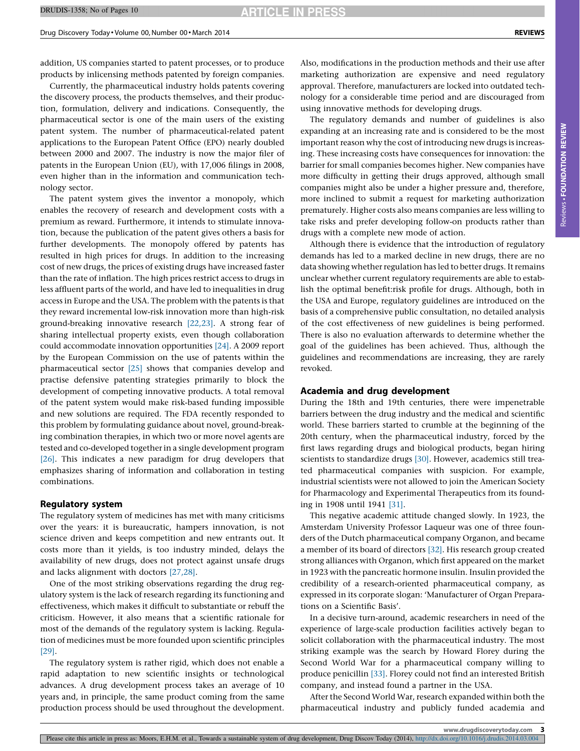addition, US companies started to patent processes, or to produce products by inlicensing methods patented by foreign companies.

Currently, the pharmaceutical industry holds patents covering the discovery process, the products themselves, and their production, formulation, delivery and indications. Consequently, the pharmaceutical sector is one of the main users of the existing patent system. The number of pharmaceutical-related patent applications to the European Patent Office (EPO) nearly doubled between 2000 and 2007. The industry is now the major filer of patents in the European Union (EU), with 17,006 filings in 2008, even higher than in the information and communication technology sector.

The patent system gives the inventor a monopoly, which enables the recovery of research and development costs with a premium as reward. Furthermore, it intends to stimulate innovation, because the publication of the patent gives others a basis for further developments. The monopoly offered by patents has resulted in high prices for drugs. In addition to the increasing cost of new drugs, the prices of existing drugs have increased faster than the rate of inflation. The high prices restrict access to drugs in less affluent parts of the world, and have led to inequalities in drug access in Europe and the USA. The problem with the patents is that they reward incremental low-risk innovation more than high-risk ground-breaking innovative research [\[22,23\]](#page-8-0). A strong fear of sharing intellectual property exists, even though collaboration could accommodate innovation opportunities [\[24\]](#page-8-0). A 2009 report by the European Commission on the use of patents within the pharmaceutical sector [\[25\]](#page-8-0) shows that companies develop and practise defensive patenting strategies primarily to block the development of competing innovative products. A total removal of the patent system would make risk-based funding impossible and new solutions are required. The FDA recently responded to this problem by formulating guidance about novel, ground-breaking combination therapies, in which two or more novel agents are tested and co-developed together in a single development program [\[26\].](#page-8-0) This indicates a new paradigm for drug developers that emphasizes sharing of information and collaboration in testing combinations.

#### Regulatory system

The regulatory system of medicines has met with many criticisms over the years: it is bureaucratic, hampers innovation, is not science driven and keeps competition and new entrants out. It costs more than it yields, is too industry minded, delays the availability of new drugs, does not protect against unsafe drugs and lacks alignment with doctors [\[27,28\]](#page-8-0).

One of the most striking observations regarding the drug regulatory system is the lack of research regarding its functioning and effectiveness, which makes it difficult to substantiate or rebuff the criticism. However, it also means that a scientific rationale for most of the demands of the regulatory system is lacking. Regulation of medicines must be more founded upon scientific principles [\[29\].](#page-8-0)

The regulatory system is rather rigid, which does not enable a rapid adaptation to new scientific insights or technological advances. A drug development process takes an average of 10 years and, in principle, the same product coming from the same production process should be used throughout the development.

Also, modifications in the production methods and their use after marketing authorization are expensive and need regulatory approval. Therefore, manufacturers are locked into outdated technology for a considerable time period and are discouraged from using innovative methods for developing drugs.

The regulatory demands and number of guidelines is also expanding at an increasing rate and is considered to be the most important reason why the cost of introducing new drugs is increasing. These increasing costs have consequences for innovation: the barrier for small companies becomes higher. New companies have more difficulty in getting their drugs approved, although small companies might also be under a higher pressure and, therefore, more inclined to submit a request for marketing authorization prematurely. Higher costs also means companies are less willing to take risks and prefer developing follow-on products rather than drugs with a complete new mode of action.

Although there is evidence that the introduction of regulatory demands has led to a marked decline in new drugs, there are no data showing whether regulation has led to better drugs. It remains unclear whether current regulatory requirements are able to establish the optimal benefit:risk profile for drugs. Although, both in the USA and Europe, regulatory guidelines are introduced on the basis of a comprehensive public consultation, no detailed analysis of the cost effectiveness of new guidelines is being performed. There is also no evaluation afterwards to determine whether the goal of the guidelines has been achieved. Thus, although the guidelines and recommendations are increasing, they are rarely revoked.

#### Academia and drug development

During the 18th and 19th centuries, there were impenetrable barriers between the drug industry and the medical and scientific world. These barriers started to crumble at the beginning of the 20th century, when the pharmaceutical industry, forced by the first laws regarding drugs and biological products, began hiring scientists to standardize drugs [\[30\]](#page-8-0). However, academics still treated pharmaceutical companies with suspicion. For example, industrial scientists were not allowed to join the American Society for Pharmacology and Experimental Therapeutics from its founding in 1908 until 1941 [\[31\].](#page-8-0)

This negative academic attitude changed slowly. In 1923, the Amsterdam University Professor Laqueur was one of three founders of the Dutch pharmaceutical company Organon, and became a member of its board of directors [\[32\]](#page-8-0). His research group created strong alliances with Organon, which first appeared on the market in 1923 with the pancreatic hormone insulin. Insulin provided the credibility of a research-oriented pharmaceutical company, as expressed in its corporate slogan: 'Manufacturer of Organ Preparations on a Scientific Basis'.

In a decisive turn-around, academic researchers in need of the experience of large-scale production facilities actively began to solicit collaboration with the pharmaceutical industry. The most striking example was the search by Howard Florey during the Second World War for a pharmaceutical company willing to produce penicillin [\[33\]](#page-9-0). Florey could not find an interested British company, and instead found a partner in the USA.

After the Second World War, research expanded within both the pharmaceutical industry and publicly funded academia and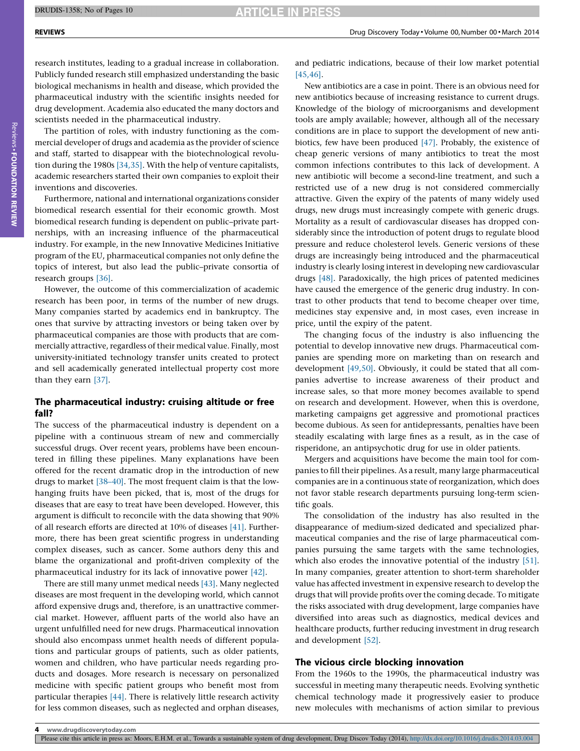research institutes, leading to a gradual increase in collaboration. Publicly funded research still emphasized understanding the basic biological mechanisms in health and disease, which provided the pharmaceutical industry with the scientific insights needed for drug development. Academia also educated the many doctors and scientists needed in the pharmaceutical industry.

The partition of roles, with industry functioning as the commercial developer of drugs and academia as the provider of science and staff, started to disappear with the biotechnological revolution during the 1980s [\[34,35\]](#page-9-0). With the help of venture capitalists, academic researchers started their own companies to exploit their inventions and discoveries.

Furthermore, national and international organizations consider biomedical research essential for their economic growth. Most biomedical research funding is dependent on public–private partnerships, with an increasing influence of the pharmaceutical industry. For example, in the new Innovative Medicines Initiative program of the EU, pharmaceutical companies not only define the topics of interest, but also lead the public–private consortia of research groups [\[36\].](#page-9-0)

However, the outcome of this commercialization of academic research has been poor, in terms of the number of new drugs. Many companies started by academics end in bankruptcy. The ones that survive by attracting investors or being taken over by pharmaceutical companies are those with products that are commercially attractive, regardless of their medical value. Finally, most university-initiated technology transfer units created to protect and sell academically generated intellectual property cost more than they earn [\[37\]](#page-9-0).

### The pharmaceutical industry: cruising altitude or free fall?

The success of the pharmaceutical industry is dependent on a pipeline with a continuous stream of new and commercially successful drugs. Over recent years, problems have been encountered in filling these pipelines. Many explanations have been offered for the recent dramatic drop in the introduction of new drugs to market [\[38–40\].](#page-9-0) The most frequent claim is that the lowhanging fruits have been picked, that is, most of the drugs for diseases that are easy to treat have been developed. However, this argument is difficult to reconcile with the data showing that 90% of all research efforts are directed at 10% of diseases [\[41\]](#page-9-0). Furthermore, there has been great scientific progress in understanding complex diseases, such as cancer. Some authors deny this and blame the organizational and profit-driven complexity of the pharmaceutical industry for its lack of innovative power [\[42\]](#page-9-0).

There are still many unmet medical needs [\[43\].](#page-9-0) Many neglected diseases are most frequent in the developing world, which cannot afford expensive drugs and, therefore, is an unattractive commercial market. However, affluent parts of the world also have an urgent unfulfilled need for new drugs. Pharmaceutical innovation should also encompass unmet health needs of different populations and particular groups of patients, such as older patients, women and children, who have particular needs regarding products and dosages. More research is necessary on personalized medicine with specific patient groups who benefit most from particular therapies [\[44\]](#page-9-0). There is relatively little research activity for less common diseases, such as neglected and orphan diseases,

and pediatric indications, because of their low market potential [\[45,46\]](#page-9-0).

New antibiotics are a case in point. There is an obvious need for new antibiotics because of increasing resistance to current drugs. Knowledge of the biology of microorganisms and development tools are amply available; however, although all of the necessary conditions are in place to support the development of new antibiotics, few have been produced [\[47\]](#page-9-0). Probably, the existence of cheap generic versions of many antibiotics to treat the most common infections contributes to this lack of development. A new antibiotic will become a second-line treatment, and such a restricted use of a new drug is not considered commercially attractive. Given the expiry of the patents of many widely used drugs, new drugs must increasingly compete with generic drugs. Mortality as a result of cardiovascular diseases has dropped considerably since the introduction of potent drugs to regulate blood pressure and reduce cholesterol levels. Generic versions of these drugs are increasingly being introduced and the pharmaceutical industry is clearly losing interest in developing new cardiovascular drugs [\[48\]](#page-9-0). Paradoxically, the high prices of patented medicines have caused the emergence of the generic drug industry. In contrast to other products that tend to become cheaper over time, medicines stay expensive and, in most cases, even increase in price, until the expiry of the patent.

The changing focus of the industry is also influencing the potential to develop innovative new drugs. Pharmaceutical companies are spending more on marketing than on research and development [\[49,50\]](#page-9-0). Obviously, it could be stated that all companies advertise to increase awareness of their product and increase sales, so that more money becomes available to spend on research and development. However, when this is overdone, marketing campaigns get aggressive and promotional practices become dubious. As seen for antidepressants, penalties have been steadily escalating with large fines as a result, as in the case of risperidone, an antipsychotic drug for use in older patients.

Mergers and acquisitions have become the main tool for companies to fill their pipelines. As a result, many large pharmaceutical companies are in a continuous state of reorganization, which does not favor stable research departments pursuing long-term scientific goals.

The consolidation of the industry has also resulted in the disappearance of medium-sized dedicated and specialized pharmaceutical companies and the rise of large pharmaceutical companies pursuing the same targets with the same technologies, which also erodes the innovative potential of the industry [\[51\]](#page-9-0). In many companies, greater attention to short-term shareholder value has affected investment in expensive research to develop the drugs that will provide profits over the coming decade. To mitigate the risks associated with drug development, large companies have diversified into areas such as diagnostics, medical devices and healthcare products, further reducing investment in drug research and development [\[52\].](#page-9-0)

### The vicious circle blocking innovation

From the 1960s to the 1990s, the pharmaceutical industry was successful in meeting many therapeutic needs. Evolving synthetic chemical technology made it progressively easier to produce new molecules with mechanisms of action similar to previous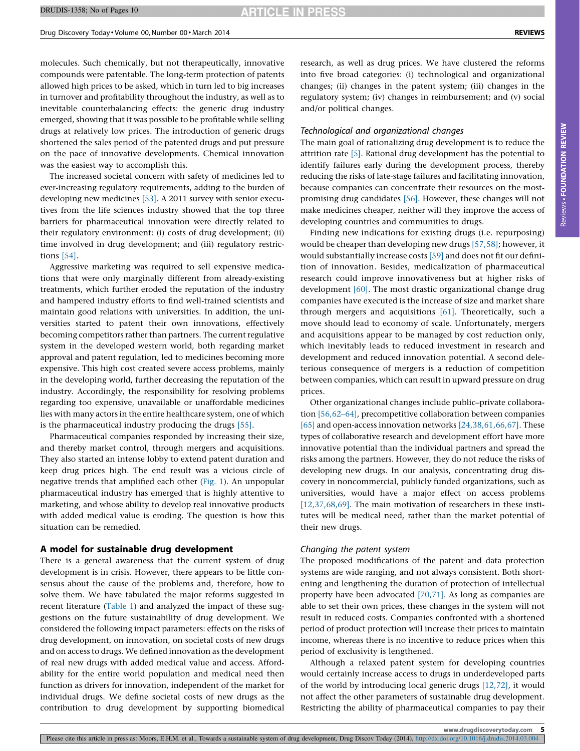**ARTICLE IN PRESS** 

molecules. Such chemically, but not therapeutically, innovative compounds were patentable. The long-term protection of patents allowed high prices to be asked, which in turn led to big increases in turnover and profitability throughout the industry, as well as to inevitable counterbalancing effects: the generic drug industry emerged, showing that it was possible to be profitable while selling drugs at relatively low prices. The introduction of generic drugs shortened the sales period of the patented drugs and put pressure on the pace of innovative developments. Chemical innovation was the easiest way to accomplish this.

The increased societal concern with safety of medicines led to ever-increasing regulatory requirements, adding to the burden of developing new medicines [\[53\]](#page-9-0). A 2011 survey with senior executives from the life sciences industry showed that the top three barriers for pharmaceutical innovation were directly related to their regulatory environment: (i) costs of drug development; (ii) time involved in drug development; and (iii) regulatory restrictions [\[54\].](#page-9-0)

Aggressive marketing was required to sell expensive medications that were only marginally different from already-existing treatments, which further eroded the reputation of the industry and hampered industry efforts to find well-trained scientists and maintain good relations with universities. In addition, the universities started to patent their own innovations, effectively becoming competitors rather than partners. The current regulative system in the developed western world, both regarding market approval and patent regulation, led to medicines becoming more expensive. This high cost created severe access problems, mainly in the developing world, further decreasing the reputation of the industry. Accordingly, the responsibility for resolving problems regarding too expensive, unavailable or unaffordable medicines lies with many actors in the entire healthcare system, one of which is the pharmaceutical industry producing the drugs [\[55\]](#page-9-0).

Pharmaceutical companies responded by increasing their size, and thereby market control, through mergers and acquisitions. They also started an intense lobby to extend patent duration and keep drug prices high. The end result was a vicious circle of negative trends that amplified each other [\(Fig.](#page-5-0) 1). An unpopular pharmaceutical industry has emerged that is highly attentive to marketing, and whose ability to develop real innovative products with added medical value is eroding. The question is how this situation can be remedied.

#### A model for sustainable drug development

There is a general awareness that the current system of drug development is in crisis. However, there appears to be little consensus about the cause of the problems and, therefore, how to solve them. We have tabulated the major reforms suggested in recent literature [\(Table](#page-6-0) 1) and analyzed the impact of these suggestions on the future sustainability of drug development. We considered the following impact parameters: effects on the risks of drug development, on innovation, on societal costs of new drugs and on access to drugs. We defined innovation as the development of real new drugs with added medical value and access. Affordability for the entire world population and medical need then function as drivers for innovation, independent of the market for individual drugs. We define societal costs of new drugs as the contribution to drug development by supporting biomedical research, as well as drug prices. We have clustered the reforms into five broad categories: (i) technological and organizational changes; (ii) changes in the patent system; (iii) changes in the regulatory system; (iv) changes in reimbursement; and (v) social and/or political changes.

#### Technological and organizational changes

The main goal of rationalizing drug development is to reduce the attrition rate [\[5\]](#page-8-0). Rational drug development has the potential to identify failures early during the development process, thereby reducing the risks of late-stage failures and facilitating innovation, because companies can concentrate their resources on the mostpromising drug candidates [\[56\]](#page-9-0). However, these changes will not make medicines cheaper, neither will they improve the access of developing countries and communities to drugs.

Finding new indications for existing drugs (i.e. repurposing) would be cheaper than developing new drugs [\[57,58\];](#page-9-0) however, it would substantially increase costs [\[59\]](#page-9-0) and does not fit our definition of innovation. Besides, medicalization of pharmaceutical research could improve innovativeness but at higher risks of development [\[60\]](#page-9-0). The most drastic organizational change drug companies have executed is the increase of size and market share through mergers and acquisitions [\[61\]](#page-9-0). Theoretically, such a move should lead to economy of scale. Unfortunately, mergers and acquisitions appear to be managed by cost reduction only, which inevitably leads to reduced investment in research and development and reduced innovation potential. A second deleterious consequence of mergers is a reduction of competition between companies, which can result in upward pressure on drug prices.

Other organizational changes include public–private collaboration [\[56,62–64\]](#page-9-0), precompetitive collaboration between companies [\[65\]](#page-9-0) and open-access innovation networks [\[24,38,61,66,67\]](#page-8-0). These types of collaborative research and development effort have more innovative potential than the individual partners and spread the risks among the partners. However, they do not reduce the risks of developing new drugs. In our analysis, concentrating drug discovery in noncommercial, publicly funded organizations, such as universities, would have a major effect on access problems [\[12,37,68,69\]](#page-8-0). The main motivation of researchers in these institutes will be medical need, rather than the market potential of their new drugs.

#### Changing the patent system

The proposed modifications of the patent and data protection systems are wide ranging, and not always consistent. Both shortening and lengthening the duration of protection of intellectual property have been advocated [\[70,71\].](#page-9-0) As long as companies are able to set their own prices, these changes in the system will not result in reduced costs. Companies confronted with a shortened period of product protection will increase their prices to maintain income, whereas there is no incentive to reduce prices when this period of exclusivity is lengthened.

Although a relaxed patent system for developing countries would certainly increase access to drugs in underdeveloped parts of the world by introducing local generic drugs [\[12,72\],](#page-8-0) it would not affect the other parameters of sustainable drug development. Restricting the ability of pharmaceutical companies to pay their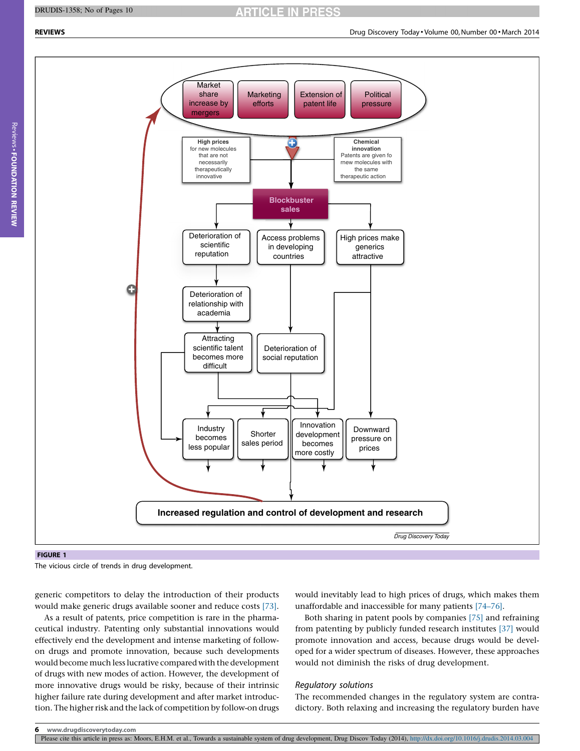#### <span id="page-5-0"></span>DRUDIS-1358; No of Pages 10

**ARTICLE IN PRESS** 



The vicious circle of trends in drug development.

As a result of patents, price competition is rare in the pharmaceutical industry. Patenting only substantial innovations would effectively end the development and intense marketing of followon drugs and promote innovation, because such developments would become much less lucrative compared with the development of drugs with new modes of action. However, the development of more innovative drugs would be risky, because of their intrinsic higher failure rate during development and after market introduction. The higher risk and the lack of competition by follow-on drugs

would inevitably lead to high prices of drugs, which makes them unaffordable and inaccessible for many patients [\[74–76\].](#page-9-0)

Both sharing in patent pools by companies [\[75\]](#page-9-0) and refraining from patenting by publicly funded research institutes [\[37\]](#page-9-0) would promote innovation and access, because drugs would be developed for a wider spectrum of diseases. However, these approaches would not diminish the risks of drug development.

#### Regulatory solutions

The recommended changes in the regulatory system are contradictory. Both relaxing and increasing the regulatory burden have

generic competitors to delay the introduction of their products would make generic drugs available sooner and reduce costs [\[73\]](#page-9-0).

Please cite this article in press as: Moors, E.H.M. et al., Towards a sustainable system of drug development, Drug Discov Today (2014), <http://dx.doi.org/10.1016/j.drudis.2014.03.004>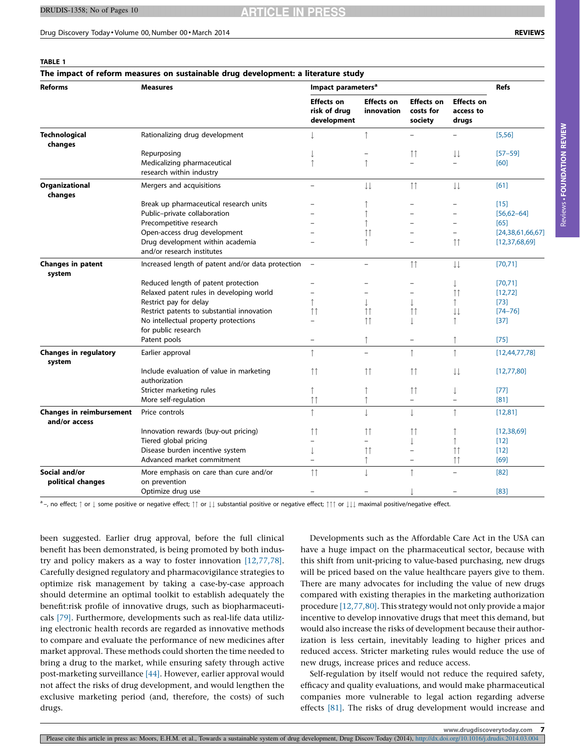**ARTICLE IN PRES** 

#### <span id="page-6-0"></span>Drug Discovery Today - Volume 00, Number 00 - March 2014 REVIEWS

|--|

| The impact of reform measures on sustainable drug development: a literature study |                                                                |                                                  |                                        |                                           |                                         |                  |  |
|-----------------------------------------------------------------------------------|----------------------------------------------------------------|--------------------------------------------------|----------------------------------------|-------------------------------------------|-----------------------------------------|------------------|--|
| <b>Reforms</b>                                                                    | <b>Measures</b>                                                | Impact parameters <sup>a</sup>                   |                                        |                                           |                                         | <b>Refs</b>      |  |
|                                                                                   |                                                                | <b>Effects on</b><br>risk of drug<br>development | <b>Effects on</b><br><b>innovation</b> | <b>Effects on</b><br>costs for<br>society | <b>Effects on</b><br>access to<br>drugs |                  |  |
| <b>Technological</b><br>changes                                                   | Rationalizing drug development                                 |                                                  | $\uparrow$                             |                                           |                                         | [5,56]           |  |
|                                                                                   | Repurposing                                                    |                                                  |                                        | $\uparrow \uparrow$                       | $\downarrow\downarrow$                  | $[57 - 59]$      |  |
|                                                                                   | Medicalizing pharmaceutical<br>research within industry        | 1                                                | $\uparrow$                             | $\overline{\phantom{0}}$                  | L.                                      | [60]             |  |
| Organizational<br>changes                                                         | Mergers and acquisitions                                       | $\qquad \qquad -$                                | $\downarrow \downarrow$                | $\uparrow\uparrow$                        | $\downarrow\downarrow$                  | [61]             |  |
|                                                                                   | Break up pharmaceutical research units                         |                                                  |                                        |                                           |                                         | $[15]$           |  |
|                                                                                   | Public-private collaboration                                   |                                                  |                                        | $\equiv$                                  | $\equiv$                                | $[56, 62 - 64]$  |  |
|                                                                                   | Precompetitive research                                        |                                                  |                                        | $\overline{a}$                            | L.                                      | [65]             |  |
|                                                                                   | Open-access drug development                                   |                                                  | $\uparrow \uparrow$                    | $\sim$                                    |                                         | [24,38,61,66,67] |  |
|                                                                                   | Drug development within academia<br>and/or research institutes |                                                  | Ť                                      | $\overline{\phantom{0}}$                  | 11                                      | [12, 37, 68, 69] |  |
| <b>Changes in patent</b><br>system                                                | Increased length of patent and/or data protection              | $\overline{\phantom{a}}$                         | $\overline{\phantom{0}}$               | $\uparrow \uparrow$                       | $\downarrow\downarrow$                  | [70, 71]         |  |
|                                                                                   | Reduced length of patent protection                            |                                                  |                                        | $\sim$                                    | J.                                      | [70, 71]         |  |
|                                                                                   | Relaxed patent rules in developing world                       |                                                  |                                        | $\overline{\phantom{0}}$                  | $\uparrow \uparrow$                     | [12, 72]         |  |
|                                                                                   | Restrict pay for delay                                         | $\uparrow$                                       | 1                                      | $\perp$                                   | ↑                                       | $[73]$           |  |
|                                                                                   | Restrict patents to substantial innovation                     | $\uparrow \uparrow$                              | ŤÎ                                     | $\uparrow \uparrow$                       | $\downarrow\downarrow$                  | $[74 - 76]$      |  |
|                                                                                   | No intellectual property protections<br>for public research    | $\equiv$                                         | $\uparrow \uparrow$                    |                                           | ↑                                       | $[37]$           |  |
|                                                                                   | Patent pools                                                   | $\qquad \qquad -$                                | $\uparrow$                             | $\overline{\phantom{a}}$                  |                                         | [75]             |  |
| <b>Changes in regulatory</b><br>system                                            | Earlier approval                                               | $\uparrow$                                       | $\equiv$                               | $\uparrow$                                | $\uparrow$                              | [12, 44, 77, 78] |  |
|                                                                                   | Include evaluation of value in marketing<br>authorization      | $\uparrow \uparrow$                              | $\uparrow \uparrow$                    | $\uparrow \uparrow$                       | $\downarrow \downarrow$                 | [12,77,80]       |  |
|                                                                                   | Stricter marketing rules                                       | $\uparrow$                                       | $\uparrow$                             | $\uparrow \uparrow$                       | T                                       | $[77]$           |  |
|                                                                                   | More self-regulation                                           | $\uparrow\uparrow$                               | $\uparrow$                             | $\overline{\phantom{0}}$                  | $\equiv$                                | [81]             |  |
| <b>Changes in reimbursement</b><br>and/or access                                  | Price controls                                                 | $\uparrow$                                       | $\overline{a}$                         | $\downarrow$                              | $\uparrow$                              | [12, 81]         |  |
|                                                                                   | Innovation rewards (buy-out pricing)                           | $\uparrow \uparrow$                              | $\uparrow \uparrow$                    | $\uparrow\uparrow$                        |                                         | [12, 38, 69]     |  |
|                                                                                   | Tiered global pricing                                          | $\equiv$                                         |                                        | J.                                        | ↑                                       | $[12]$           |  |
|                                                                                   | Disease burden incentive system                                | J                                                | Ħ                                      | $\overline{\phantom{m}}$                  | 11                                      | $[12]$           |  |
|                                                                                   | Advanced market commitment                                     |                                                  | $\uparrow$                             | $\equiv$                                  | $\uparrow\uparrow$                      | [69]             |  |
| Social and/or<br>political changes                                                | More emphasis on care than cure and/or<br>on prevention        | $\uparrow\uparrow$                               | $\perp$                                | ↑                                         | $\equiv$                                | [82]             |  |
|                                                                                   | Optimize drug use                                              | $\equiv$                                         |                                        |                                           | $\equiv$                                | [83]             |  |
|                                                                                   |                                                                |                                                  |                                        |                                           |                                         |                  |  |

 $a$ -, no effect;  $\uparrow$  or  $\downarrow$  some positive or negative effect;  $\uparrow$  or  $\downarrow \downarrow$  substantial positive or negative effect;  $\uparrow \uparrow$  or  $\downarrow \downarrow \downarrow$  maximal positive/negative effect.

been suggested. Earlier drug approval, before the full clinical benefit has been demonstrated, is being promoted by both industry and policy makers as a way to foster innovation [\[12,77,78\].](#page-8-0) Carefully designed regulatory and pharmacovigilance strategies to optimize risk management by taking a case-by-case approach should determine an optimal toolkit to establish adequately the benefit:risk profile of innovative drugs, such as biopharmaceuticals [\[79\]](#page-9-0). Furthermore, developments such as real-life data utilizing electronic health records are regarded as innovative methods to compare and evaluate the performance of new medicines after market approval. These methods could shorten the time needed to bring a drug to the market, while ensuring safety through active post-marketing surveillance [\[44\].](#page-9-0) However, earlier approval would not affect the risks of drug development, and would lengthen the exclusive marketing period (and, therefore, the costs) of such drugs.

Developments such as the Affordable Care Act in the USA can have a huge impact on the pharmaceutical sector, because with this shift from unit-pricing to value-based purchasing, new drugs will be priced based on the value healthcare payers give to them. There are many advocates for including the value of new drugs compared with existing therapies in the marketing authorization procedure [\[12,77,80\]](#page-8-0). This strategy would not only provide a major incentive to develop innovative drugs that meet this demand, but would also increase the risks of development because their authorization is less certain, inevitably leading to higher prices and reduced access. Stricter marketing rules would reduce the use of new drugs, increase prices and reduce access.

Self-regulation by itself would not reduce the required safety, efficacy and quality evaluations, and would make pharmaceutical companies more vulnerable to legal action regarding adverse effects [\[81\].](#page-9-0) The risks of drug development would increase and

www.drugdiscoverytoday.com 7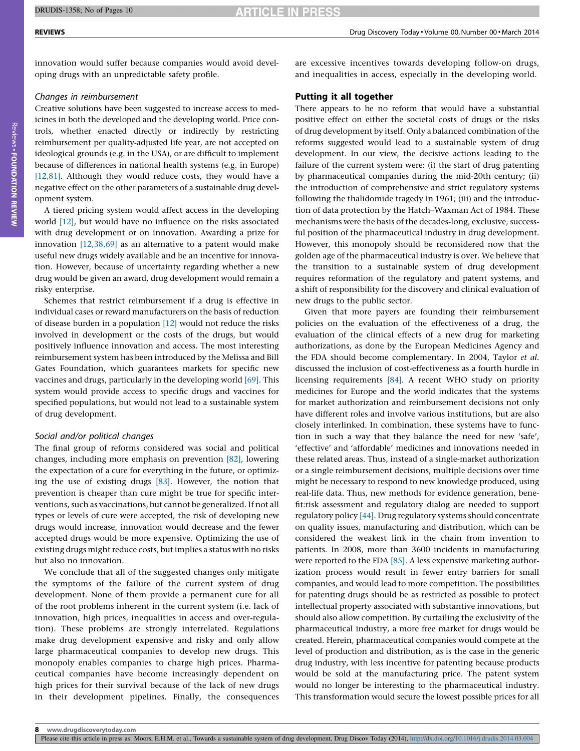innovation would suffer because companies would avoid developing drugs with an unpredictable safety profile.

#### Changes in reimbursement

Creative solutions have been suggested to increase access to medicines in both the developed and the developing world. Price controls, whether enacted directly or indirectly by restricting reimbursement per quality-adjusted life year, are not accepted on ideological grounds (e.g. in the USA), or are difficult to implement because of differences in national health systems (e.g. in Europe) [\[12,81\].](#page-8-0) Although they would reduce costs, they would have a negative effect on the other parameters of a sustainable drug development system.

A tiered pricing system would affect access in the developing world [\[12\]](#page-8-0), but would have no influence on the risks associated with drug development or on innovation. Awarding a prize for innovation  $[12,38,69]$  as an alternative to a patent would make useful new drugs widely available and be an incentive for innovation. However, because of uncertainty regarding whether a new drug would be given an award, drug development would remain a risky enterprise.

Schemes that restrict reimbursement if a drug is effective in individual cases or reward manufacturers on the basis of reduction of disease burden in a population [\[12\]](#page-8-0) would not reduce the risks involved in development or the costs of the drugs, but would positively influence innovation and access. The most interesting reimbursement system has been introduced by the Melissa and Bill Gates Foundation, which guarantees markets for specific new vaccines and drugs, particularly in the developing world [\[69\]](#page-9-0). This system would provide access to specific drugs and vaccines for specified populations, but would not lead to a sustainable system of drug development.

#### Social and/or political changes

The final group of reforms considered was social and political changes, including more emphasis on prevention [\[82\],](#page-9-0) lowering the expectation of a cure for everything in the future, or optimizing the use of existing drugs [\[83\].](#page-9-0) However, the notion that prevention is cheaper than cure might be true for specific interventions, such as vaccinations, but cannot be generalized. If not all types or levels of cure were accepted, the risk of developing new drugs would increase, innovation would decrease and the fewer accepted drugs would be more expensive. Optimizing the use of existing drugs might reduce costs, but implies a status with no risks but also no innovation.

We conclude that all of the suggested changes only mitigate the symptoms of the failure of the current system of drug development. None of them provide a permanent cure for all of the root problems inherent in the current system (i.e. lack of innovation, high prices, inequalities in access and over-regulation). These problems are strongly interrelated. Regulations make drug development expensive and risky and only allow large pharmaceutical companies to develop new drugs. This monopoly enables companies to charge high prices. Pharmaceutical companies have become increasingly dependent on high prices for their survival because of the lack of new drugs in their development pipelines. Finally, the consequences

are excessive incentives towards developing follow-on drugs, and inequalities in access, especially in the developing world.

### Putting it all together

There appears to be no reform that would have a substantial positive effect on either the societal costs of drugs or the risks of drug development by itself. Only a balanced combination of the reforms suggested would lead to a sustainable system of drug development. In our view, the decisive actions leading to the failure of the current system were: (i) the start of drug patenting by pharmaceutical companies during the mid-20th century; (ii) the introduction of comprehensive and strict regulatory systems following the thalidomide tragedy in 1961; (iii) and the introduction of data protection by the Hatch–Waxman Act of 1984. These mechanisms were the basis of the decades-long, exclusive, successful position of the pharmaceutical industry in drug development. However, this monopoly should be reconsidered now that the golden age of the pharmaceutical industry is over. We believe that the transition to a sustainable system of drug development requires reformation of the regulatory and patent systems, and a shift of responsibility for the discovery and clinical evaluation of new drugs to the public sector.

Given that more payers are founding their reimbursement policies on the evaluation of the effectiveness of a drug, the evaluation of the clinical effects of a new drug for marketing authorizations, as done by the European Medicines Agency and the FDA should become complementary. In 2004, Taylor et al. discussed the inclusion of cost-effectiveness as a fourth hurdle in licensing requirements [\[84\]](#page-9-0). A recent WHO study on priority medicines for Europe and the world indicates that the systems for market authorization and reimbursement decisions not only have different roles and involve various institutions, but are also closely interlinked. In combination, these systems have to function in such a way that they balance the need for new 'safe', 'effective' and 'affordable' medicines and innovations needed in these related areas. Thus, instead of a single-market authorization or a single reimbursement decisions, multiple decisions over time might be necessary to respond to new knowledge produced, using real-life data. Thus, new methods for evidence generation, benefit:risk assessment and regulatory dialog are needed to support regulatory policy [\[44\].](#page-9-0) Drug regulatory systems should concentrate on quality issues, manufacturing and distribution, which can be considered the weakest link in the chain from invention to patients. In 2008, more than 3600 incidents in manufacturing were reported to the FDA [\[85\].](#page-9-0) A less expensive marketing authorization process would result in fewer entry barriers for small companies, and would lead to more competition. The possibilities for patenting drugs should be as restricted as possible to protect intellectual property associated with substantive innovations, but should also allow competition. By curtailing the exclusivity of the pharmaceutical industry, a more free market for drugs would be created. Herein, pharmaceutical companies would compete at the level of production and distribution, as is the case in the generic drug industry, with less incentive for patenting because products would be sold at the manufacturing price. The patent system would no longer be interesting to the pharmaceutical industry. This transformation would secure the lowest possible prices for all

Please cite this article in press as: Moors, E.H.M. et al., Towards a sustainable system of drug development, Drug Discov Today (2014), <http://dx.doi.org/10.1016/j.drudis.2014.03.004>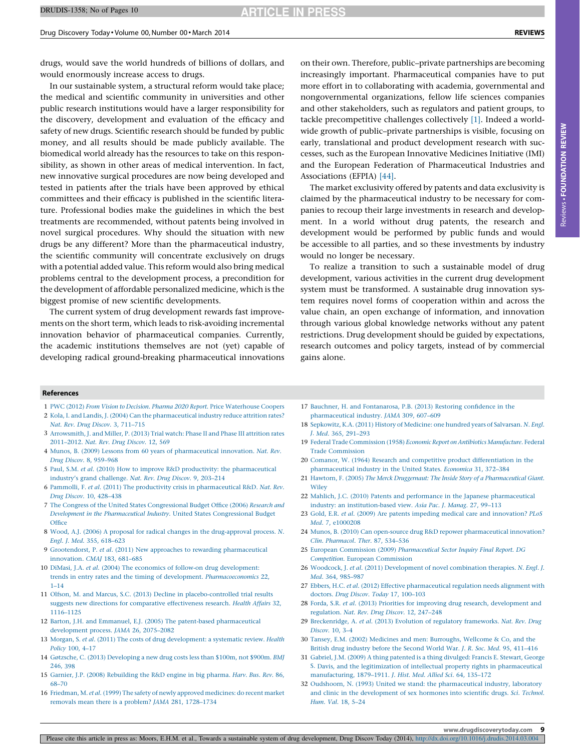<span id="page-8-0"></span>Drug Discovery Today - Volume 00, Number 00 - March 2014 REVIEWS

drugs, would save the world hundreds of billions of dollars, and would enormously increase access to drugs.

In our sustainable system, a structural reform would take place; the medical and scientific community in universities and other public research institutions would have a larger responsibility for the discovery, development and evaluation of the efficacy and safety of new drugs. Scientific research should be funded by public money, and all results should be made publicly available. The biomedical world already has the resources to take on this responsibility, as shown in other areas of medical intervention. In fact, new innovative surgical procedures are now being developed and tested in patients after the trials have been approved by ethical committees and their efficacy is published in the scientific literature. Professional bodies make the guidelines in which the best treatments are recommended, without patents being involved in novel surgical procedures. Why should the situation with new drugs be any different? More than the pharmaceutical industry, the scientific community will concentrate exclusively on drugs with a potential added value. This reform would also bring medical problems central to the development process, a precondition for the development of affordable personalized medicine, which is the biggest promise of new scientific developments.

The current system of drug development rewards fast improvements on the short term, which leads to risk-avoiding incremental innovation behavior of pharmaceutical companies. Currently, the academic institutions themselves are not (yet) capable of developing radical ground-breaking pharmaceutical innovations on their own. Therefore, public–private partnerships are becoming increasingly important. Pharmaceutical companies have to put more effort in to collaborating with academia, governmental and nongovernmental organizations, fellow life sciences companies and other stakeholders, such as regulators and patient groups, to tackle precompetitive challenges collectively [1]. Indeed a worldwide growth of public–private partnerships is visible, focusing on early, translational and product development research with successes, such as the European Innovative Medicines Initiative (IMI) and the European Federation of Pharmaceutical Industries and Associations (EFPIA) [\[44\]](#page-9-0).

The market exclusivity offered by patents and data exclusivity is claimed by the pharmaceutical industry to be necessary for companies to recoup their large investments in research and development. In a world without drug patents, the research and development would be performed by public funds and would be accessible to all parties, and so these investments by industry would no longer be necessary.

To realize a transition to such a sustainable model of drug development, various activities in the current drug development system must be transformed. A sustainable drug innovation system requires novel forms of cooperation within and across the value chain, an open exchange of information, and innovation through various global knowledge networks without any patent restrictions. Drug development should be guided by expectations, research outcomes and policy targets, instead of by commercial gains alone.

#### References

- 1 PWC (2012) From Vision to Decision. Pharma 2020 Report. Price [Waterhouse](http://refhub.elsevier.com/S1359-6446(14)00081-6/sbref0005) Coopers
- 2 Kola, I. and Landis, J. (2004) Can the [pharmaceutical](http://refhub.elsevier.com/S1359-6446(14)00081-6/sbref0010) industry reduce attrition rates? Nat. Rev. Drug Discov. 3, [711–715](http://refhub.elsevier.com/S1359-6446(14)00081-6/sbref0010)
- 3 [Arrowsmith,](http://refhub.elsevier.com/S1359-6446(14)00081-6/sbref0015) J. and Miller, P. (2013) Trial watch: Phase II and Phase III attrition rates [2011–2012.](http://refhub.elsevier.com/S1359-6446(14)00081-6/sbref0015) Nat. Rev. Drug Discov. 12, 569
- 4 Munos, B. (2009) Lessons from 60 years of [pharmaceutical](http://refhub.elsevier.com/S1359-6446(14)00081-6/sbref0020) innovation. Nat. Rev. Drug Discov. 8, [959–968](http://refhub.elsevier.com/S1359-6446(14)00081-6/sbref0020)
- 5 Paul, S.M. et al. (2010) How to improve R&D productivity: the [pharmaceutical](http://refhub.elsevier.com/S1359-6446(14)00081-6/sbref0025) industry's grand [challenge.](http://refhub.elsevier.com/S1359-6446(14)00081-6/sbref0025) Nat. Rev. Drug Discov. 9, 203–214
- 6 Pammolli, F. et al. (2011) The productivity crisis in [pharmaceutical](http://refhub.elsevier.com/S1359-6446(14)00081-6/sbref0030) R&D. Nat. Rev. Drug Discov. 10, [428–438](http://refhub.elsevier.com/S1359-6446(14)00081-6/sbref0030)
- 7 The Congress of the United States [Congressional](http://refhub.elsevier.com/S1359-6446(14)00081-6/sbref0035) Budget Office (2006) Research and Development in the [Pharmaceutical](http://refhub.elsevier.com/S1359-6446(14)00081-6/sbref0035) Industry. United States Congressional Budget **[Office](http://refhub.elsevier.com/S1359-6446(14)00081-6/sbref0035)**
- 8 Wood, A.J. (2006) A proposal for radical changes in the [drug-approval](http://refhub.elsevier.com/S1359-6446(14)00081-6/sbref0040) process. N. Engl. J. Med. 355, [618–623](http://refhub.elsevier.com/S1359-6446(14)00081-6/sbref0040)
- 9 Grootendorst, P. et al. (2011) New approaches to rewarding [pharmaceutical](http://refhub.elsevier.com/S1359-6446(14)00081-6/sbref0045) [innovation.](http://refhub.elsevier.com/S1359-6446(14)00081-6/sbref0045) CMAJ 183, 681–685
- 10 DiMasi, J.A. et al. (2004) The economics of follow-on drug [development:](http://refhub.elsevier.com/S1359-6446(14)00081-6/sbref0050) trends in entry rates and the timing of development. [Pharmacoeconomics](http://refhub.elsevier.com/S1359-6446(14)00081-6/sbref0050) 22, [1–14](http://refhub.elsevier.com/S1359-6446(14)00081-6/sbref0050)
- 11 Olfson, M. and Marcus, S.C. (2013) Decline in [placebo-controlled](http://refhub.elsevier.com/S1359-6446(14)00081-6/sbref0055) trial results suggests new directions for comparative [effectiveness](http://refhub.elsevier.com/S1359-6446(14)00081-6/sbref0055) research. Health Affairs 32, [1116–1125](http://refhub.elsevier.com/S1359-6446(14)00081-6/sbref0055)
- 12 Barton, J.H. and Emmanuel, E.J. (2005) The patent-based [pharmaceutical](http://refhub.elsevier.com/S1359-6446(14)00081-6/sbref0060) [development](http://refhub.elsevier.com/S1359-6446(14)00081-6/sbref0060) process. JAMA 26, 2075–2082
- 13 Morgan, S. et al. (2011) The costs of drug [development:](http://refhub.elsevier.com/S1359-6446(14)00081-6/sbref0065) a systematic review. Health [Policy](http://refhub.elsevier.com/S1359-6446(14)00081-6/sbref0065) 100, 4–17
- 14 Gøtzsche, C. (2013) [Developing](http://refhub.elsevier.com/S1359-6446(14)00081-6/sbref0070) a new drug costs less than \$100m, not \$900m. BMJ [246,](http://refhub.elsevier.com/S1359-6446(14)00081-6/sbref0070) 398
- 15 Garnier, J.P. (2008) [Rebuilding](http://refhub.elsevier.com/S1359-6446(14)00081-6/sbref0075) the R&D engine in big pharma. Harv. Bus. Rev. 86, [68–70](http://refhub.elsevier.com/S1359-6446(14)00081-6/sbref0075)
- 16 Friedman, M. et al. (1999) The safety of newly approved [medicines:](http://refhub.elsevier.com/S1359-6446(14)00081-6/sbref0080) do recent market removals mean there is a problem? JAMA 281, [1728–1734](http://refhub.elsevier.com/S1359-6446(14)00081-6/sbref0080)
- 17 Bauchner, H. and [Fontanarosa,](http://refhub.elsevier.com/S1359-6446(14)00081-6/sbref0085) P.B. (2013) Restoring confidence in the [pharmaceutical](http://refhub.elsevier.com/S1359-6446(14)00081-6/sbref0085) industry. JAMA 309, 607–609
- 18 [Sepkowitz,](http://refhub.elsevier.com/S1359-6446(14)00081-6/sbref0090) K.A. (2011) History of Medicine: one hundred years of Salvarsan. N. Engl. J. Med. 365, [291–293](http://refhub.elsevier.com/S1359-6446(14)00081-6/sbref0090)
- 19 Federal Trade [Commission](http://refhub.elsevier.com/S1359-6446(14)00081-6/sbref0095) (1958) Economic Report on Antibiotics Manufacture. Federal Trade [Commission](http://refhub.elsevier.com/S1359-6446(14)00081-6/sbref0095)
- 20 Comanor, W. (1964) Research and competitive product [differentiation](http://refhub.elsevier.com/S1359-6446(14)00081-6/sbref0100) in the [pharmaceutical](http://refhub.elsevier.com/S1359-6446(14)00081-6/sbref0100) industry in the United States. Economica 31, 372–384
- 21 Hawtorn, F. (2005) The Merck Druggernaut: The Inside Story of a [Pharmaceutical](http://refhub.elsevier.com/S1359-6446(14)00081-6/sbref0105) Giant. [Wiley](http://refhub.elsevier.com/S1359-6446(14)00081-6/sbref0105)
- 22 Mahlich, J.C. (2010) Patents and performance in the Japanese [pharmaceutical](http://refhub.elsevier.com/S1359-6446(14)00081-6/sbref0110) industry: an [institution-based](http://refhub.elsevier.com/S1359-6446(14)00081-6/sbref0110) view. Asia Pac. J. Manag. 27, 99–113
- 23 Gold, E.R. et al. (2009) Are patents impeding medical care and [innovation?](http://refhub.elsevier.com/S1359-6446(14)00081-6/sbref0115) PLoS Med. 7, [e1000208](http://refhub.elsevier.com/S1359-6446(14)00081-6/sbref0115)
- 24 Munos, B. (2010) Can open-source drug R&D repower [pharmaceutical](http://refhub.elsevier.com/S1359-6446(14)00081-6/sbref0120) innovation? Clin. [Pharmacol.](http://refhub.elsevier.com/S1359-6446(14)00081-6/sbref0120) Ther. 87, 534–536
- 25 European Commission (2009) [Pharmaceutical](http://refhub.elsevier.com/S1359-6446(14)00081-6/sbref0125) Sector Inquiry Final Report. DG Competition. European [Commission](http://refhub.elsevier.com/S1359-6446(14)00081-6/sbref0125)
- 26 Woodcock, J. et al. (2011) [Development](http://refhub.elsevier.com/S1359-6446(14)00081-6/sbref0130) of novel combination therapies. N. Engl. J. Med. 364, [985–987](http://refhub.elsevier.com/S1359-6446(14)00081-6/sbref0130)
- 27 Ebbers, H.C. et al. (2012) Effective [pharmaceutical](http://refhub.elsevier.com/S1359-6446(14)00081-6/sbref0135) regulation needs alignment with doctors. Drug Discov. Today 17, [100–103](http://refhub.elsevier.com/S1359-6446(14)00081-6/sbref0135)
- 28 Forda, S.R. et al. (2013) Priorities for improving drug research, [development](http://refhub.elsevier.com/S1359-6446(14)00081-6/sbref0140) and [regulation.](http://refhub.elsevier.com/S1359-6446(14)00081-6/sbref0140) Nat. Rev. Drug Discov. 12, 247–248
- 29 [Breckenridge,](http://refhub.elsevier.com/S1359-6446(14)00081-6/sbref0145) A. et al. (2013) Evolution of regulatory frameworks. Nat. Rev. Drug [Discov.](http://refhub.elsevier.com/S1359-6446(14)00081-6/sbref0145) 10, 3–4
- 30 Tansey, E.M. (2002) Medicines and men: [Burroughs,](http://refhub.elsevier.com/S1359-6446(14)00081-6/sbref0150) Wellcome & Co, and the British drug [industry](http://refhub.elsevier.com/S1359-6446(14)00081-6/sbref0150) before the Second World War. J. R. Soc. Med. 95, 411–416
- 31 Gabriel, J.M. (2009) A thing patented is a thing [divulged:](http://refhub.elsevier.com/S1359-6446(14)00081-6/sbref0155) Francis E. Stewart, George S. Davis, and the legitimization of intellectual property rights in [pharmaceutical](http://refhub.elsevier.com/S1359-6446(14)00081-6/sbref0155) [manufacturing,](http://refhub.elsevier.com/S1359-6446(14)00081-6/sbref0155) 1879–1911. J. Hist. Med. Allied Sci. 64, 135–172
- 32 Oudshoorn, N. (1993) United we stand: the [pharmaceutical](http://refhub.elsevier.com/S1359-6446(14)00081-6/sbref0160) industry, laboratory and clinic in the [development](http://refhub.elsevier.com/S1359-6446(14)00081-6/sbref0160) of sex hormones into scientific drugs. Sci. Technol. [Hum.](http://refhub.elsevier.com/S1359-6446(14)00081-6/sbref0160) Val. 18, 5–24

www.drugdiscoverytoday.com 9